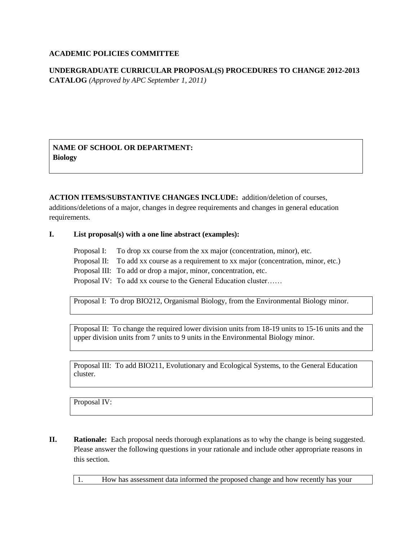## **ACADEMIC POLICIES COMMITTEE**

**UNDERGRADUATE CURRICULAR PROPOSAL(S) PROCEDURES TO CHANGE 2012-2013 CATALOG** *(Approved by APC September 1, 2011)*

**NAME OF SCHOOL OR DEPARTMENT: Biology**

**ACTION ITEMS/SUBSTANTIVE CHANGES INCLUDE:** addition/deletion of courses, additions/deletions of a major, changes in degree requirements and changes in general education requirements.

### **I. List proposal(s) with a one line abstract (examples):**

Proposal I: To drop xx course from the xx major (concentration, minor), etc. Proposal II: To add xx course as a requirement to xx major (concentration, minor, etc.) Proposal III: To add or drop a major, minor, concentration, etc. Proposal IV: To add xx course to the General Education cluster……

Proposal I: To drop BIO212, Organismal Biology, from the Environmental Biology minor.

Proposal II: To change the required lower division units from 18-19 units to 15-16 units and the upper division units from 7 units to 9 units in the Environmental Biology minor.

Proposal III: To add BIO211, Evolutionary and Ecological Systems, to the General Education cluster.

Proposal IV:

**II.** Rationale: Each proposal needs thorough explanations as to why the change is being suggested. Please answer the following questions in your rationale and include other appropriate reasons in this section.

1. How has assessment data informed the proposed change and how recently has your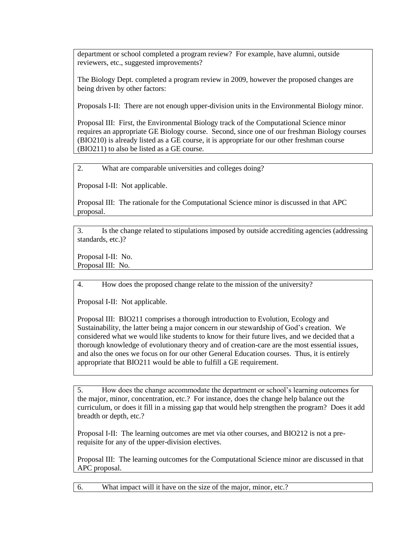department or school completed a program review? For example, have alumni, outside reviewers, etc., suggested improvements?

The Biology Dept. completed a program review in 2009, however the proposed changes are being driven by other factors:

Proposals I-II: There are not enough upper-division units in the Environmental Biology minor.

Proposal III: First, the Environmental Biology track of the Computational Science minor requires an appropriate GE Biology course. Second, since one of our freshman Biology courses (BIO210) is already listed as a GE course, it is appropriate for our other freshman course (BIO211) to also be listed as a GE course.

2. What are comparable universities and colleges doing?

Proposal I-II: Not applicable.

Proposal III: The rationale for the Computational Science minor is discussed in that APC proposal.

3. Is the change related to stipulations imposed by outside accrediting agencies (addressing standards, etc.)?

Proposal I-II: No. Proposal III: No.

4. How does the proposed change relate to the mission of the university?

Proposal I-II: Not applicable.

Proposal III: BIO211 comprises a thorough introduction to Evolution, Ecology and Sustainability, the latter being a major concern in our stewardship of God's creation. We considered what we would like students to know for their future lives, and we decided that a thorough knowledge of evolutionary theory and of creation-care are the most essential issues, and also the ones we focus on for our other General Education courses. Thus, it is entirely appropriate that BIO211 would be able to fulfill a GE requirement.

5. How does the change accommodate the department or school's learning outcomes for the major, minor, concentration, etc.? For instance, does the change help balance out the curriculum, or does it fill in a missing gap that would help strengthen the program? Does it add breadth or depth, etc.?

Proposal I-II: The learning outcomes are met via other courses, and BIO212 is not a prerequisite for any of the upper-division electives.

Proposal III: The learning outcomes for the Computational Science minor are discussed in that APC proposal.

6. What impact will it have on the size of the major, minor, etc.?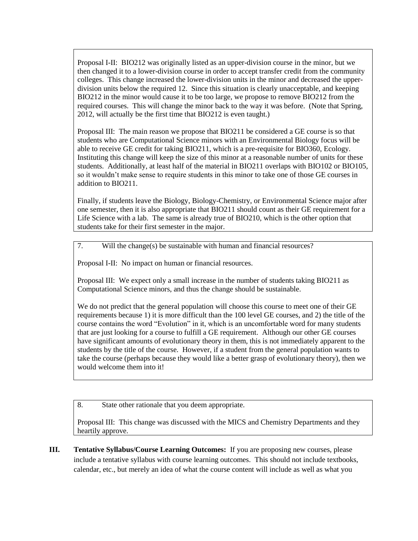Proposal I-II: BIO212 was originally listed as an upper-division course in the minor, but we then changed it to a lower-division course in order to accept transfer credit from the community colleges. This change increased the lower-division units in the minor and decreased the upperdivision units below the required 12. Since this situation is clearly unacceptable, and keeping BIO212 in the minor would cause it to be too large, we propose to remove BIO212 from the required courses. This will change the minor back to the way it was before. (Note that Spring, 2012, will actually be the first time that BIO212 is even taught.)

Proposal III: The main reason we propose that BIO211 be considered a GE course is so that students who are Computational Science minors with an Environmental Biology focus will be able to receive GE credit for taking BIO211, which is a pre-requisite for BIO360, Ecology. Instituting this change will keep the size of this minor at a reasonable number of units for these students. Additionally, at least half of the material in BIO211 overlaps with BIO102 or BIO105, so it wouldn't make sense to require students in this minor to take one of those GE courses in addition to BIO211.

Finally, if students leave the Biology, Biology-Chemistry, or Environmental Science major after one semester, then it is also appropriate that BIO211 should count as their GE requirement for a Life Science with a lab. The same is already true of BIO210, which is the other option that students take for their first semester in the major.

7. Will the change(s) be sustainable with human and financial resources?

Proposal I-II: No impact on human or financial resources.

Proposal III: We expect only a small increase in the number of students taking BIO211 as Computational Science minors, and thus the change should be sustainable.

We do not predict that the general population will choose this course to meet one of their GE requirements because 1) it is more difficult than the 100 level GE courses, and 2) the title of the course contains the word "Evolution" in it, which is an uncomfortable word for many students that are just looking for a course to fulfill a GE requirement. Although our other GE courses have significant amounts of evolutionary theory in them, this is not immediately apparent to the students by the title of the course. However, if a student from the general population wants to take the course (perhaps because they would like a better grasp of evolutionary theory), then we would welcome them into it!

8. State other rationale that you deem appropriate.

Proposal III: This change was discussed with the MICS and Chemistry Departments and they heartily approve.

**III. Tentative Syllabus/Course Learning Outcomes:** If you are proposing new courses, please include a tentative syllabus with course learning outcomes. This should not include textbooks, calendar, etc., but merely an idea of what the course content will include as well as what you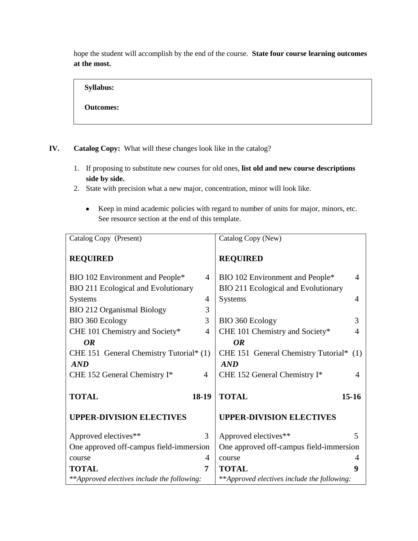hope the student will accomplish by the end of the course. **State four course learning outcomes at the most.** 

**Syllabus: Outcomes:**

- **IV. Catalog Copy:** What will these changes look like in the catalog?
	- 1. If proposing to substitute new courses for old ones, **list old and new course descriptions side by side.**
	- 2. State with precision what a new major, concentration, minor will look like.
		- Keep in mind academic policies with regard to number of units for major, minors, etc. See resource section at the end of this template.

| Catalog Copy (Present)                      |                | Catalog Copy (New)                          |                         |
|---------------------------------------------|----------------|---------------------------------------------|-------------------------|
| <b>REQUIRED</b>                             |                | <b>REQUIRED</b>                             |                         |
| BIO 102 Environment and People*             | 4              | BIO 102 Environment and People*             | 4                       |
| <b>BIO 211 Ecological and Evolutionary</b>  |                | BIO 211 Ecological and Evolutionary         |                         |
| <b>Systems</b>                              | 4              | <b>Systems</b>                              | 4                       |
| <b>BIO 212 Organismal Biology</b>           | 3              |                                             |                         |
| BIO 360 Ecology                             | 3              | BIO 360 Ecology                             | 3                       |
| CHE 101 Chemistry and Society*              | 4              | CHE 101 Chemistry and Society*              | 4                       |
| <b>OR</b>                                   |                | <b>OR</b>                                   |                         |
| CHE 151 General Chemistry Tutorial* (1)     |                | CHE 151 General Chemistry Tutorial* (1)     |                         |
| AND                                         |                | AND                                         |                         |
| CHE 152 General Chemistry I*                | $\overline{4}$ | CHE 152 General Chemistry I*                | 4                       |
|                                             |                |                                             |                         |
| <b>TOTAL</b>                                | 18-19          | <b>TOTAL</b>                                | $15-16$                 |
| <b>UPPER-DIVISION ELECTIVES</b>             |                | <b>UPPER-DIVISION ELECTIVES</b>             |                         |
| Approved electives**                        | 3              | Approved electives**                        | $\overline{\mathbf{5}}$ |
| One approved off-campus field-immersion     |                | One approved off-campus field-immersion     |                         |
| course                                      | 4              | course                                      | 4                       |
| <b>TOTAL</b>                                | 7              | <b>TOTAL</b>                                | 9                       |
| **Approved electives include the following: |                | **Approved electives include the following: |                         |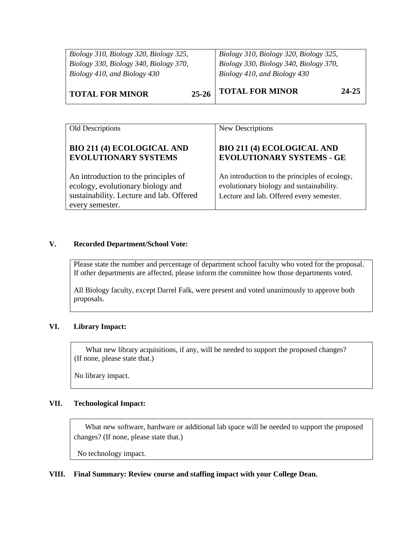| Biology 310, Biology 320, Biology 325,<br>Biology 330, Biology 340, Biology 370,<br>Biology 410, and Biology 430 | Biology 310, Biology 320, Biology 325,<br>Biology 330, Biology 340, Biology 370,<br>Biology 410, and Biology 430 |
|------------------------------------------------------------------------------------------------------------------|------------------------------------------------------------------------------------------------------------------|
|                                                                                                                  | <b>TOTAL FOR MINOR</b><br>24-25                                                                                  |
| $25 - 26$<br><b>TOTAL FOR MINOR</b>                                                                              |                                                                                                                  |

| Old Descriptions                                                                                                                         | New Descriptions                                                                                                                      |
|------------------------------------------------------------------------------------------------------------------------------------------|---------------------------------------------------------------------------------------------------------------------------------------|
| <b>BIO 211 (4) ECOLOGICAL AND</b><br><b>EVOLUTIONARY SYSTEMS</b>                                                                         | <b>BIO 211 (4) ECOLOGICAL AND</b><br><b>EVOLUTIONARY SYSTEMS - GE</b>                                                                 |
| An introduction to the principles of<br>ecology, evolutionary biology and<br>sustainability. Lecture and lab. Offered<br>every semester. | An introduction to the principles of ecology,<br>evolutionary biology and sustainability.<br>Lecture and lab. Offered every semester. |

# **V. Recorded Department/School Vote:**

Please state the number and percentage of department school faculty who voted for the proposal. If other departments are affected, please inform the committee how those departments voted.

All Biology faculty, except Darrel Falk, were present and voted unanimously to approve both proposals.

### **VI. Library Impact:**

What new library acquisitions, if any, will be needed to support the proposed changes? (If none, please state that.)

No library impact.

## **VII. Technological Impact:**

 What new software, hardware or additional lab space will be needed to support the proposed changes? (If none, please state that.)

No technology impact.

#### **VIII. Final Summary: Review course and staffing impact with your College Dean.**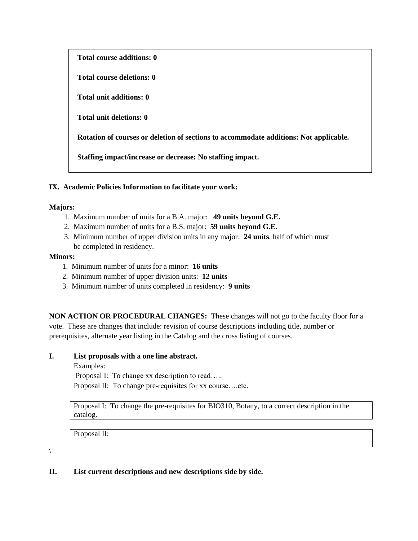| <b>Total course additions: 0</b>                                                      |
|---------------------------------------------------------------------------------------|
| Total course deletions: 0                                                             |
| Total unit additions: 0                                                               |
| <b>Total unit deletions: 0</b>                                                        |
| Rotation of courses or deletion of sections to accommodate additions: Not applicable. |
| Staffing impact/increase or decrease: No staffing impact.                             |

### **IX. Academic Policies Information to facilitate your work:**

### **Majors:**

- 1. Maximum number of units for a B.A. major: **49 units beyond G.E.**
- 2. Maximum number of units for a B.S. major: **59 units beyond G.E.**
- 3. Minimum number of upper division units in any major: **24 units**, half of which must be completed in residency.

#### **Minors:**

- 1. Minimum number of units for a minor: **16 units**
- 2. Minimum number of upper division units: **12 units**
- 3. Minimum number of units completed in residency: **9 units**

**NON ACTION OR PROCEDURAL CHANGES:** These changes will not go to the faculty floor for a vote. These are changes that include: revision of course descriptions including title, number or prerequisites, alternate year listing in the Catalog and the cross listing of courses.

### **I. List proposals with a one line abstract.**

Examples:

Proposal I: To change xx description to read…..

Proposal II: To change pre-requisites for xx course….etc.

Proposal I: To change the pre-requisites for BIO310, Botany, to a correct description in the catalog.

Proposal II:

 $\setminus$ 

### **II. List current descriptions and new descriptions side by side.**